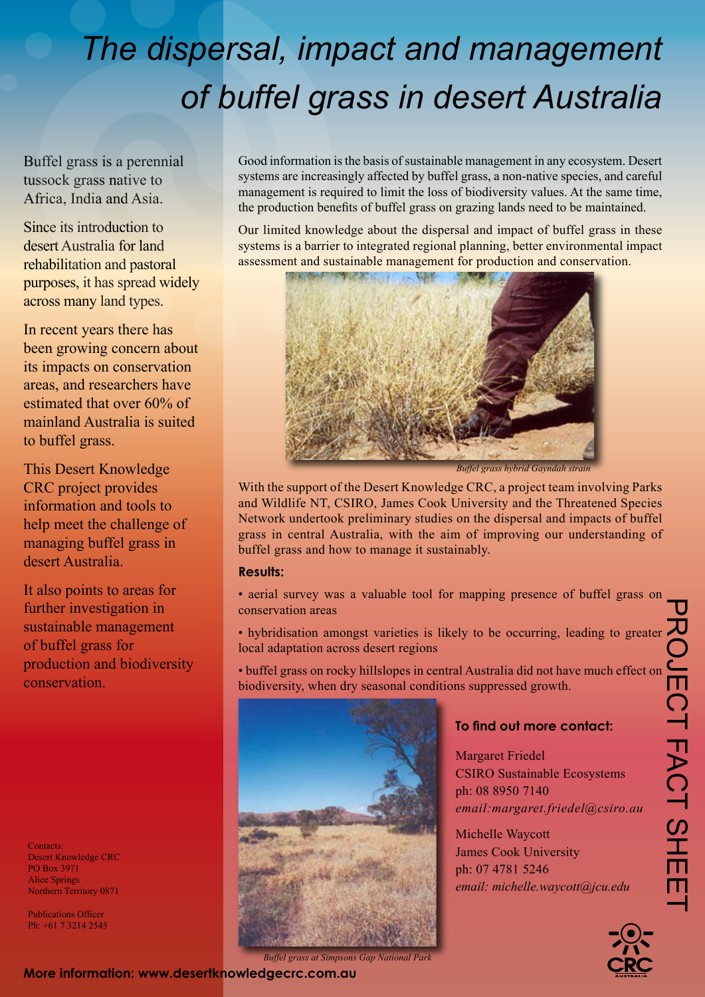# *The dispersal, impact and management of buffel grass in desert Australia*

Buffel grass is a perennial tussock grass native to Africa, India and Asia.

Since its introduction to desert Australia for land rehabilitation and pastoral purposes, it has spread widely across many land types.

In recent years there has been growing concern about its impacts on conservation areas, and researchers have estimated that over 60% of mainland Australia is suited to buffel grass.

This Desert Knowledge CRC project provides information and tools to help meet the challenge of managing buffel grass in desert Australia.

It also points to areas for further investigation in sustainable management of buffel grass for production and biodiversity conservation.

Contacts: Desert Knowledge CRC PO Box 3971 Alice Springs Northern Territory 0871

Publications Officer Ph: +61 7 3214 2545

Good information is the basis of sustainable management in any ecosystem. Desert systems are increasingly affected by buffel grass, a non-native species, and careful management is required to limit the loss of biodiversity values. At the same time, the production benefits of buffel grass on grazing lands need to be maintained.

Our limited knowledge about the dispersal and impact of buffel grass in these systems is a barrier to integrated regional planning, better environmental impact assessment and sustainable management for production and conservation.



*Buffel grass hybrid Gayndah strain*

With the support of the Desert Knowledge CRC, a project team involving Parks and Wildlife NT, CSIRO, James Cook University and the Threatened Species Network undertook preliminary studies on the dispersal and impacts of buffel grass in central Australia, with the aim of improving our understanding of buffel grass and how to manage it sustainably.

## **Results:**

- aerial survey was a valuable tool for mapping presence of buffel grass on conservation areas
- hybridisation amongst varieties is likely to be occurring, leading to greater local adaptation across desert regions
- buffel grass on rocky hillslopes in central Australia did not have much effect on biodiversity, when dry seasonal conditions suppressed growth.



## **To find out more contact:**

Margaret Friedel CSIRO Sustainable Ecosystems ph: 08 8950 7140 *email:margaret.friedel@csiro.au*

Michelle Waycott James Cook University ph: 07 4781 5246 *email: michelle.waycott@jcu.edu*



*Buffel grass at Simpsons Gap National Park*